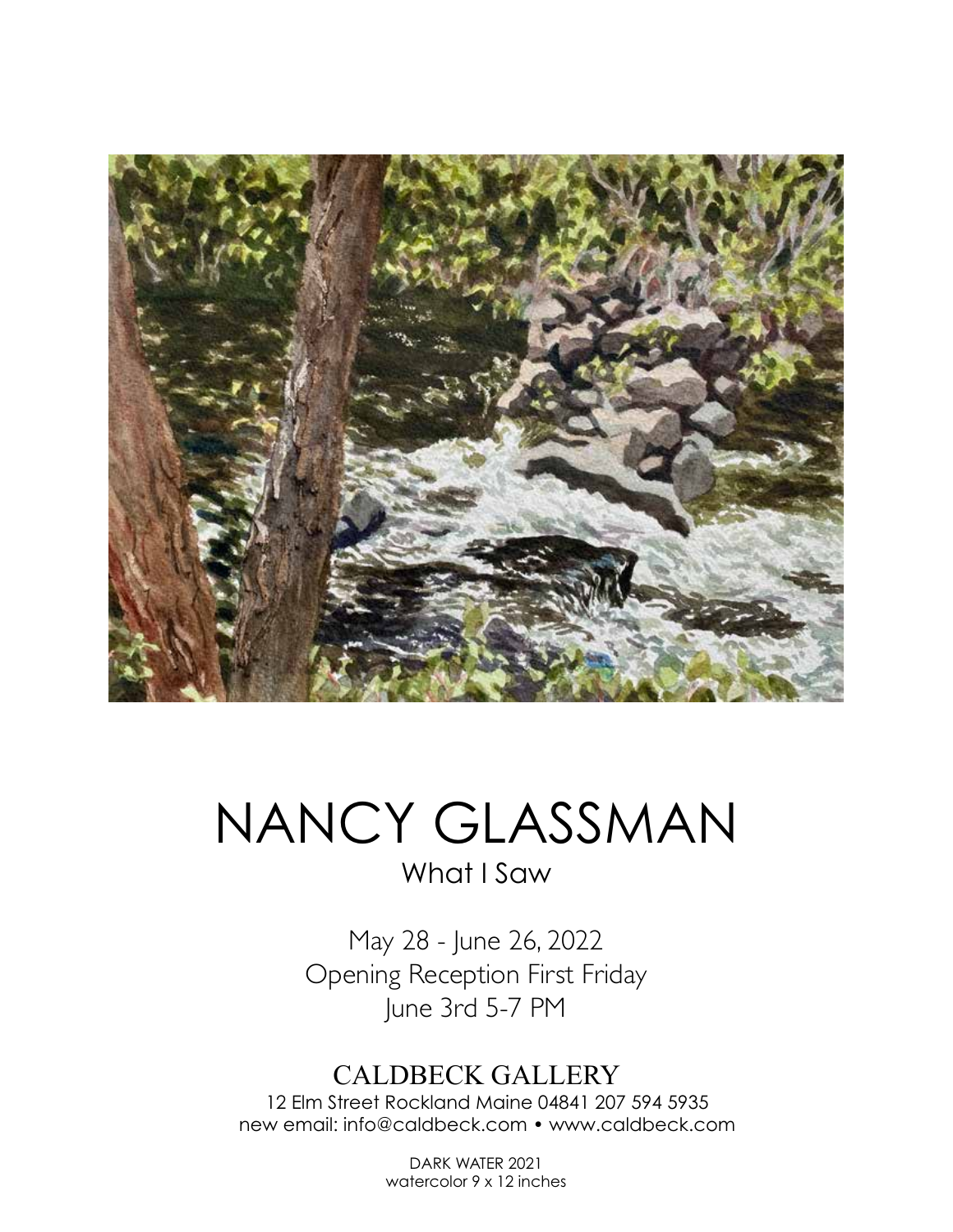

## NANCY GLASSMAN What I Saw

May 28 - June 26, 2022 Opening Reception First Friday June 3rd 5-7 PM

## CALDBECK GALLERY

12 Elm Street Rockland Maine 04841 207 594 5935 new email: info@caldbeck.com • www.caldbeck.com

> DARK WATER 2021 watercolor 9 x 12 inches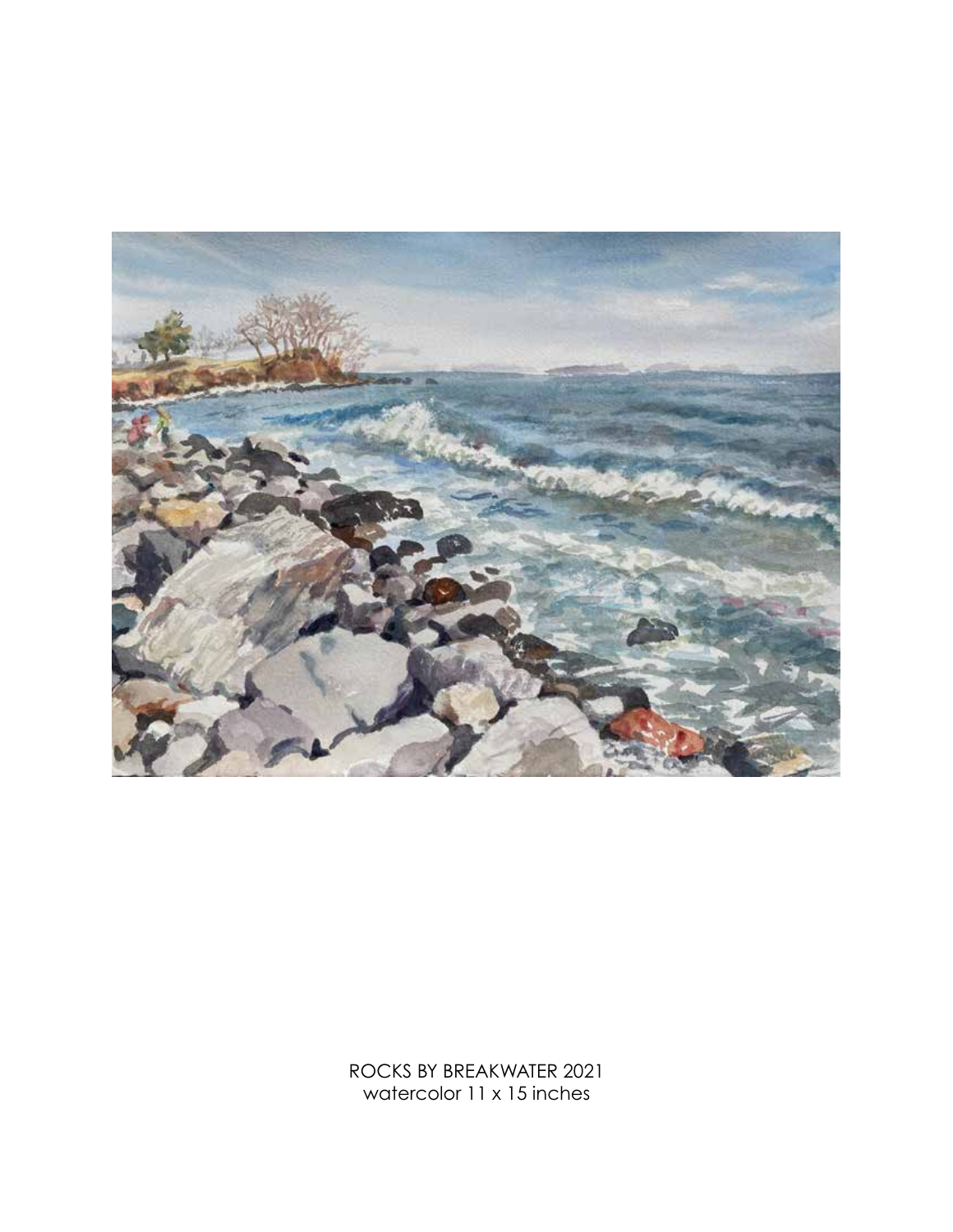

ROCKS BY BREAKWATER 2021 watercolor 11 x 15 inches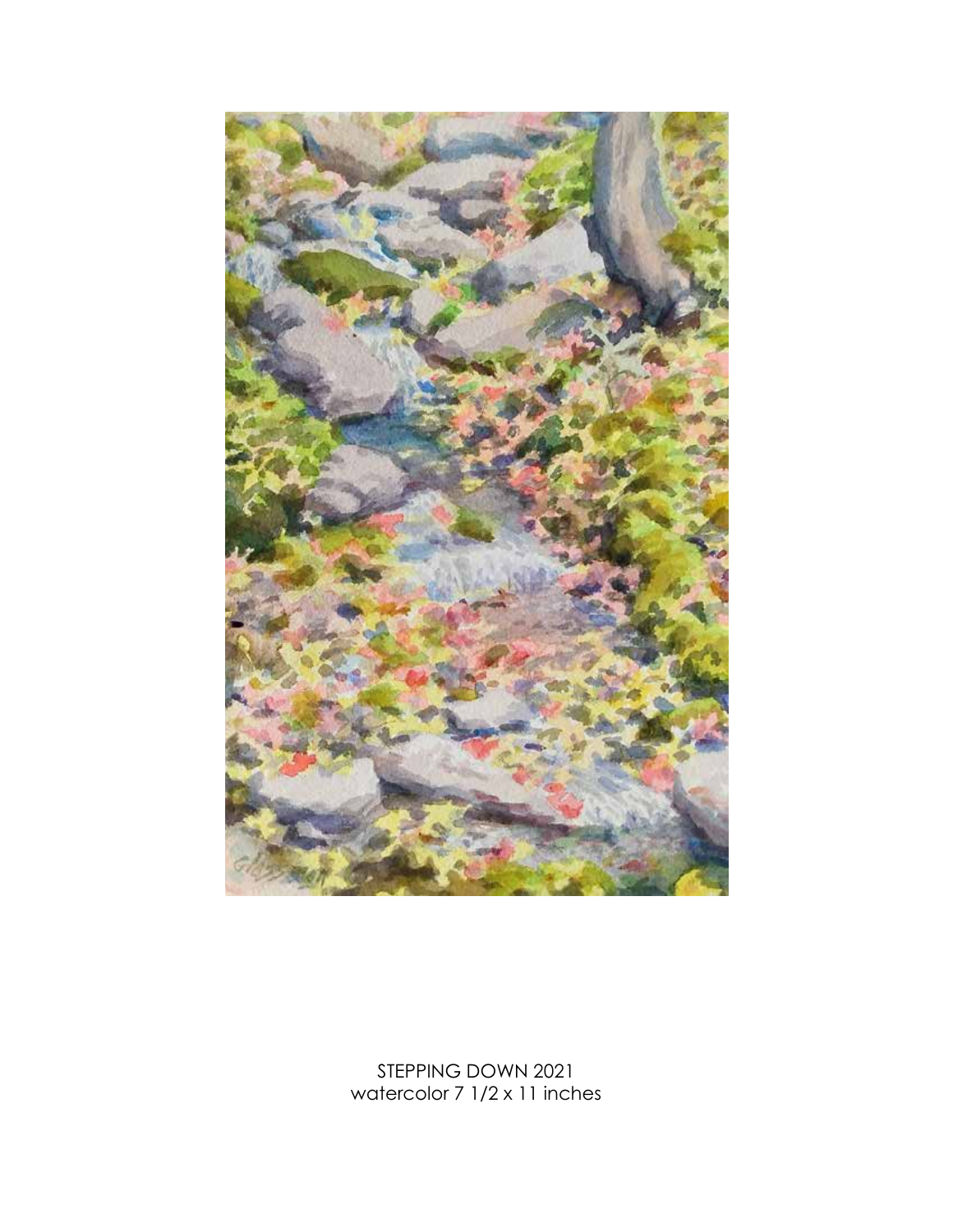

STEPPING DOWN 2021 watercolor 7 1/2 x 11 inches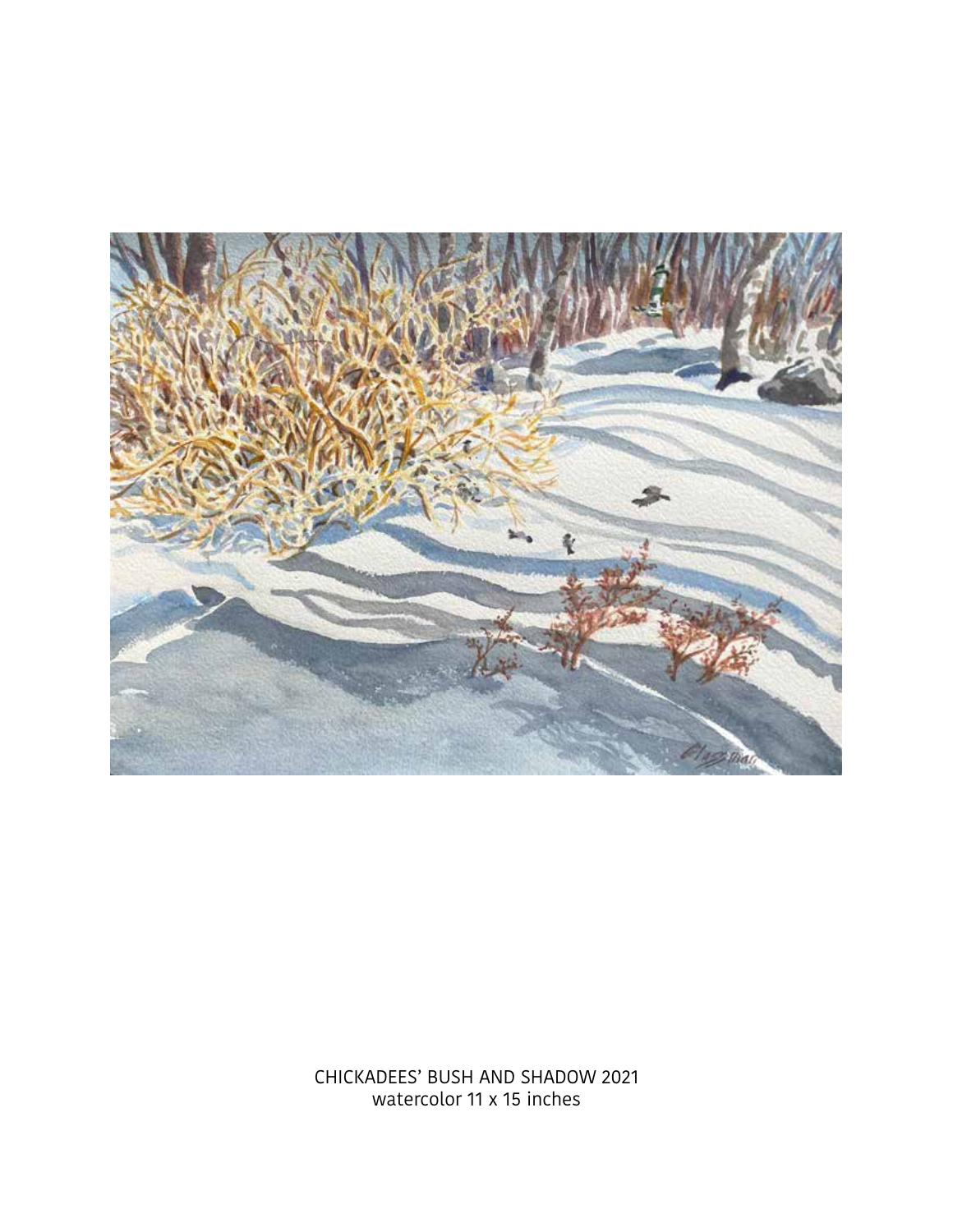

CHICKADEES' BUSH AND SHADOW 2021 watercolor 11 x 15 inches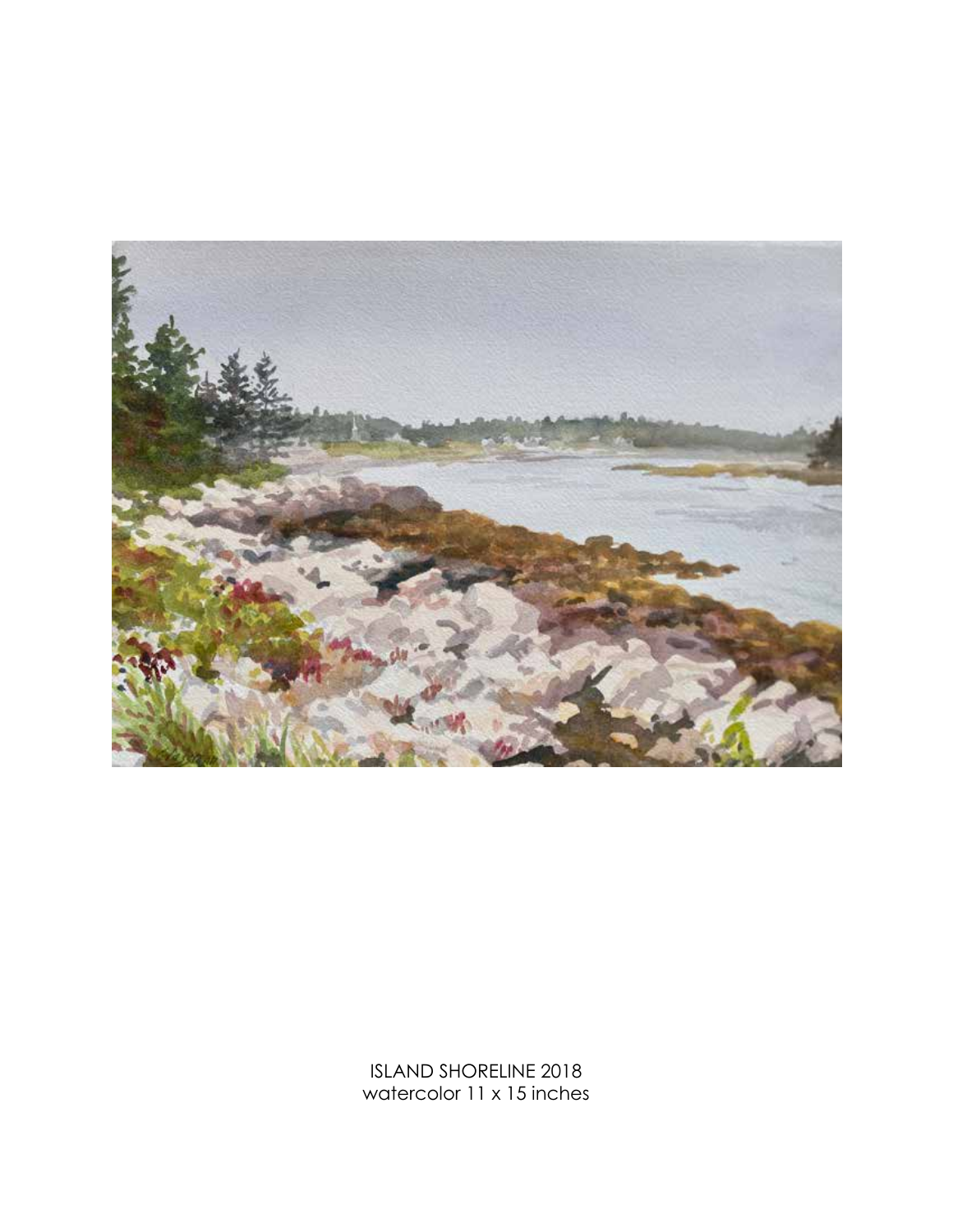

ISLAND SHORELINE 2018 watercolor 11 x 15 inches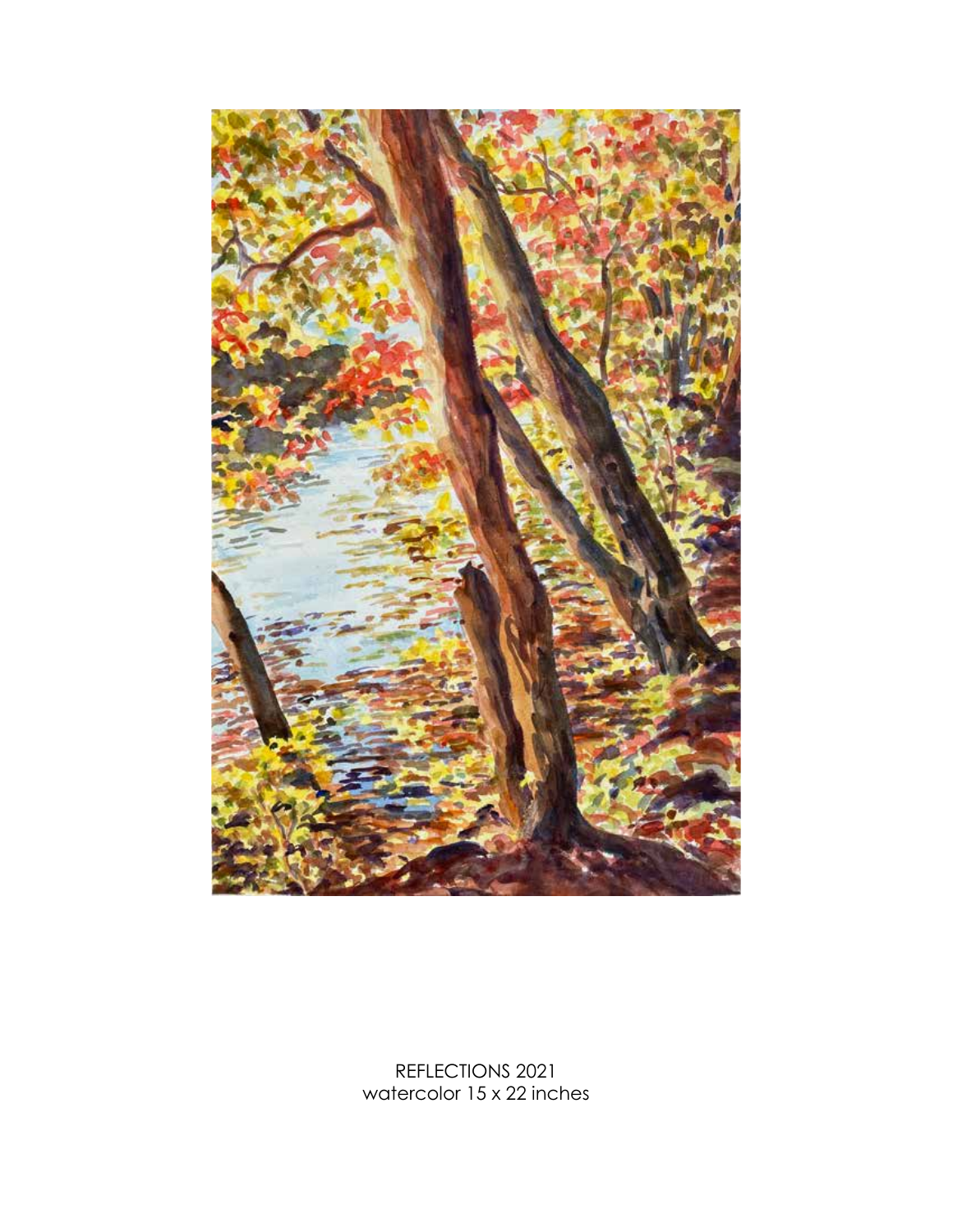

REFLECTIONS 2021 watercolor 15 x 22 inches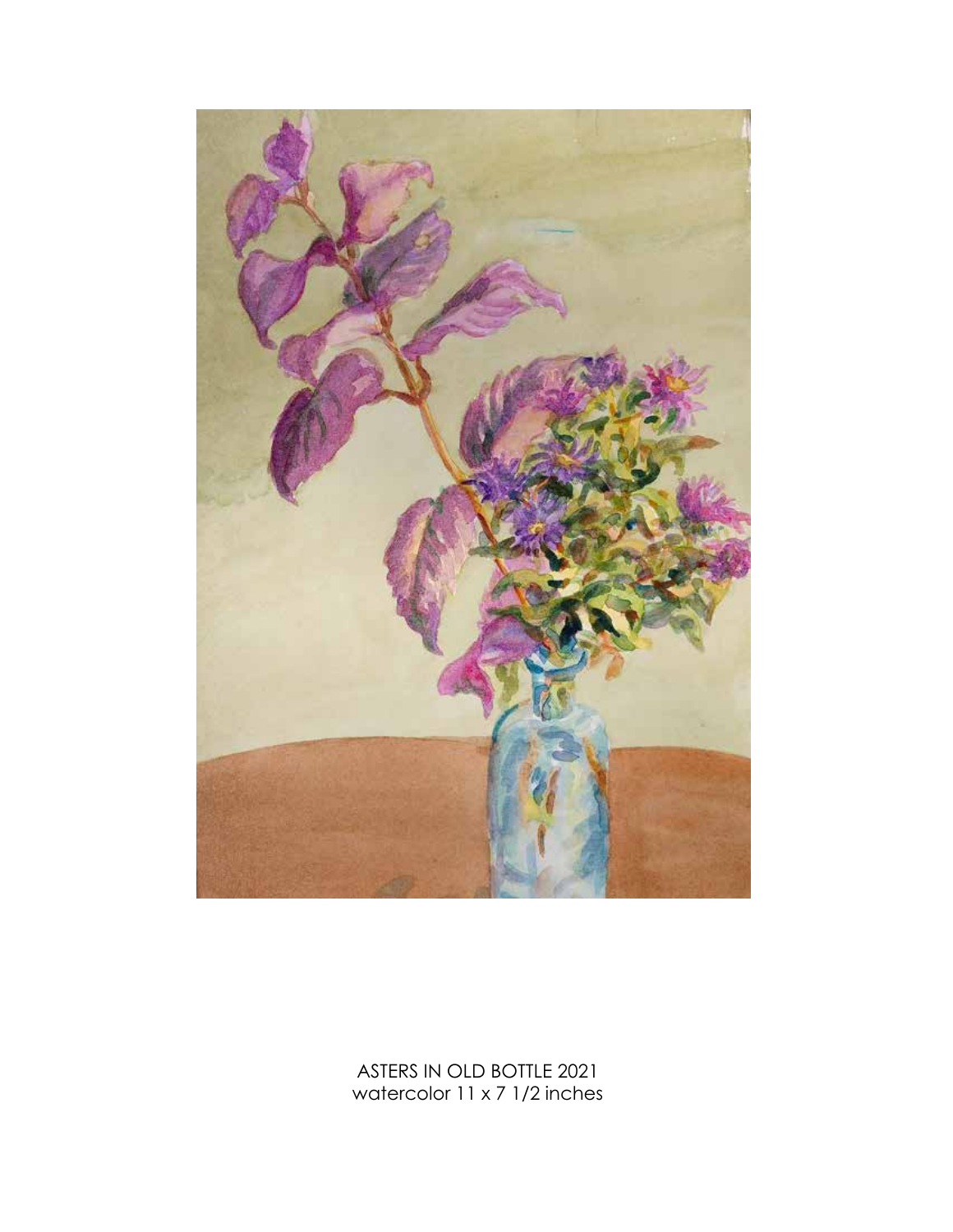

ASTERS IN OLD BOTTLE 2021 watercolor 11 x 7 1/2 inches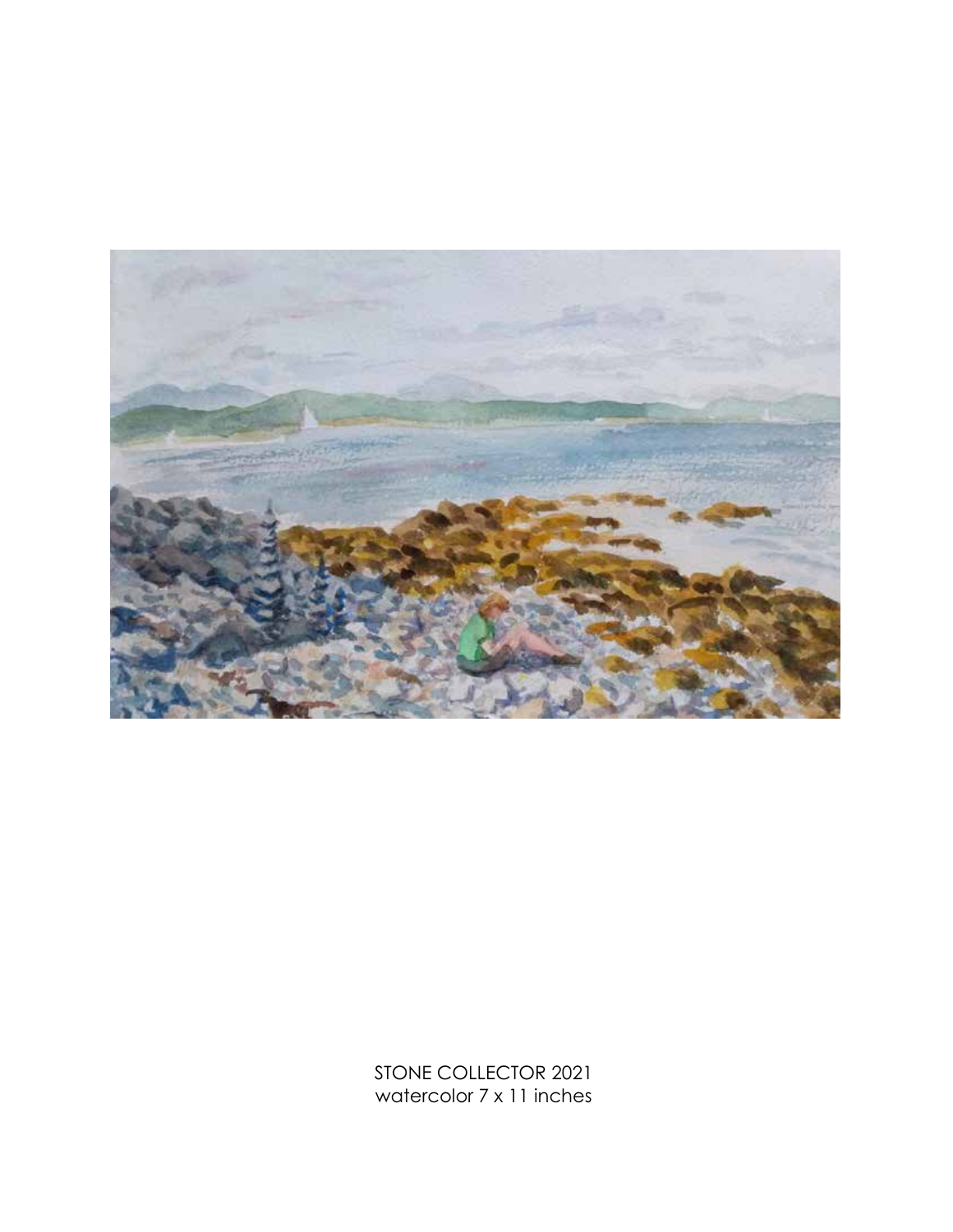

STONE COLLECTOR 2021 watercolor 7 x 11 inches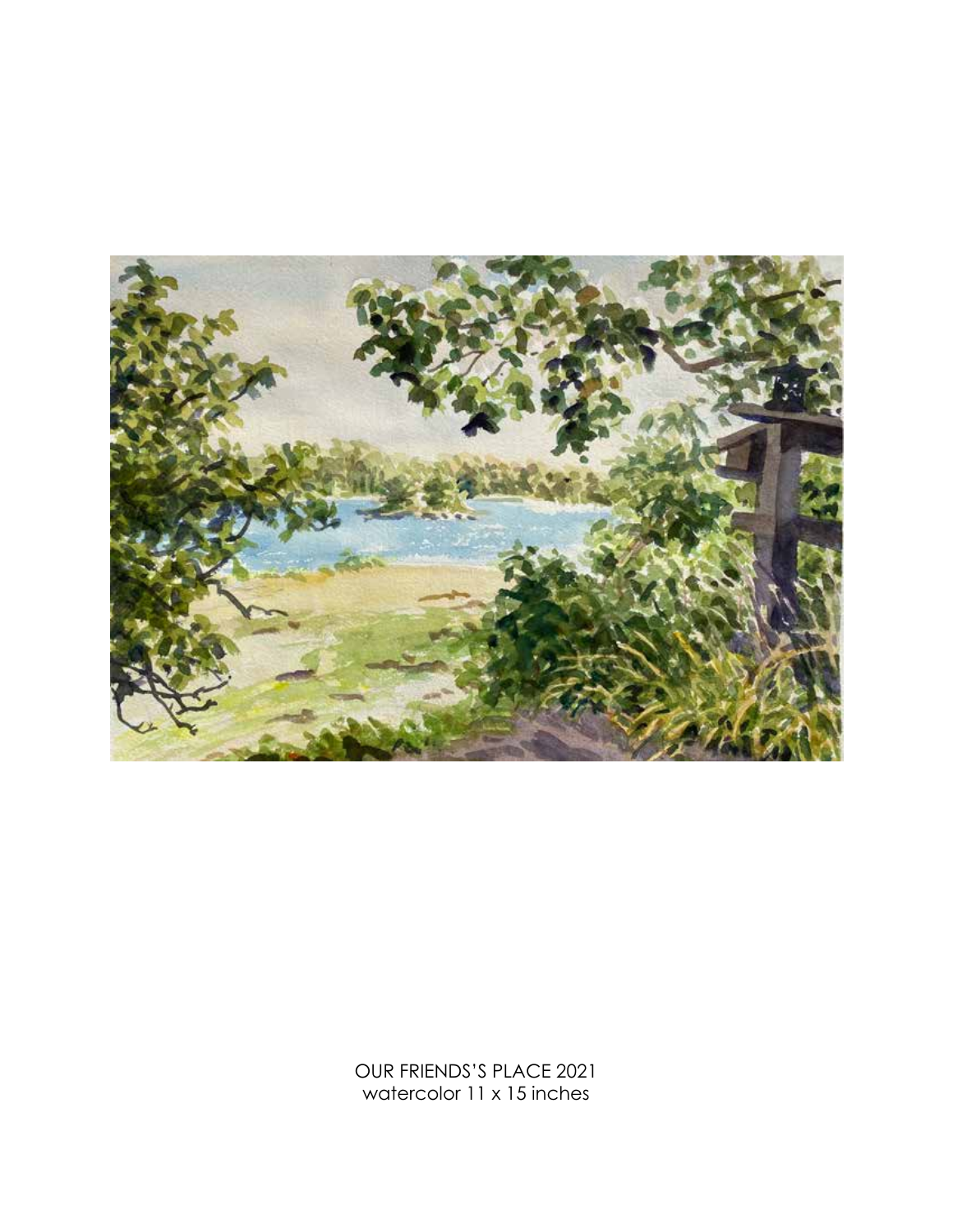

OUR FRIENDS'S PLACE 2021 watercolor 11 x 15 inches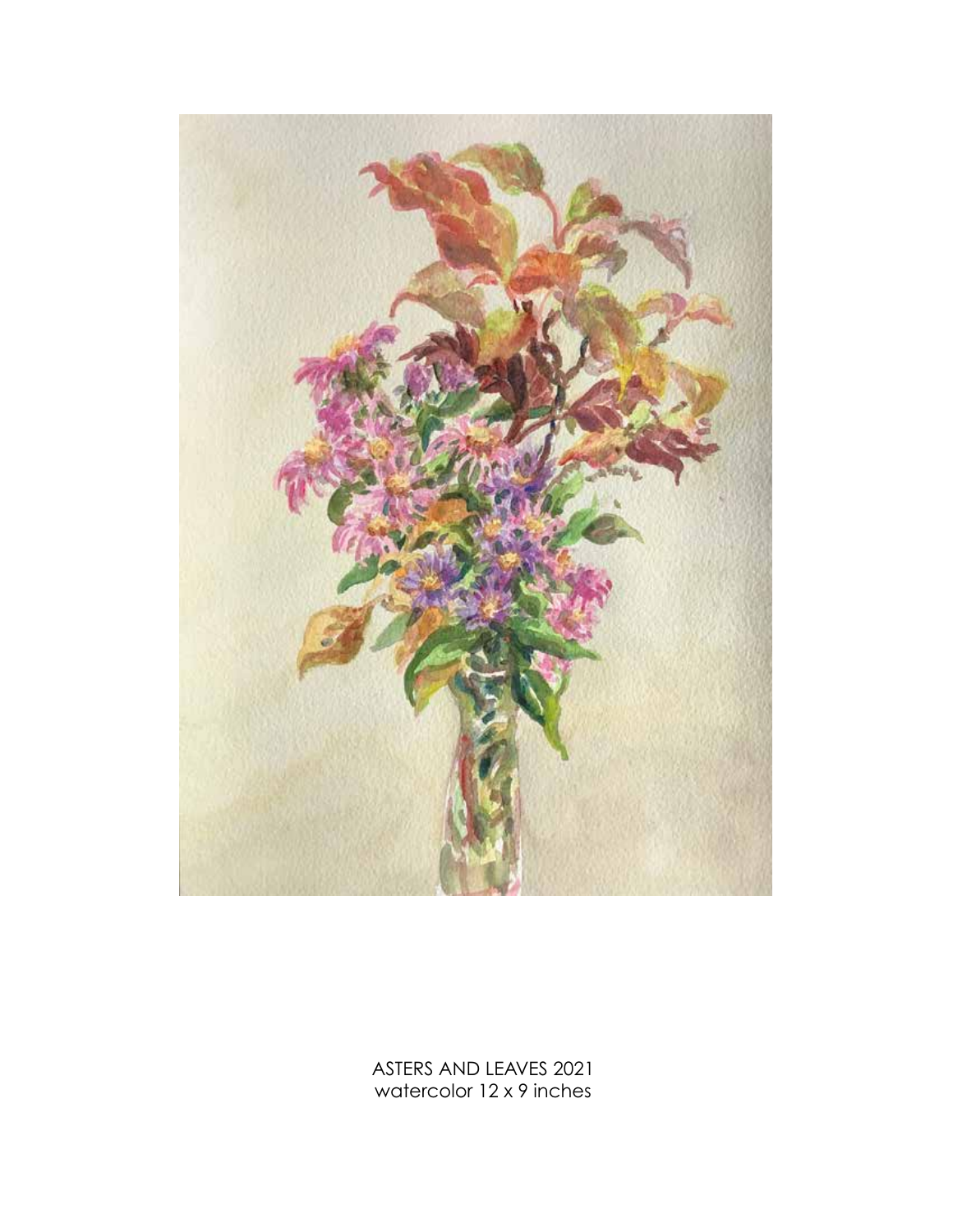

ASTERS AND LEAVES 2021 watercolor 12 x 9 inches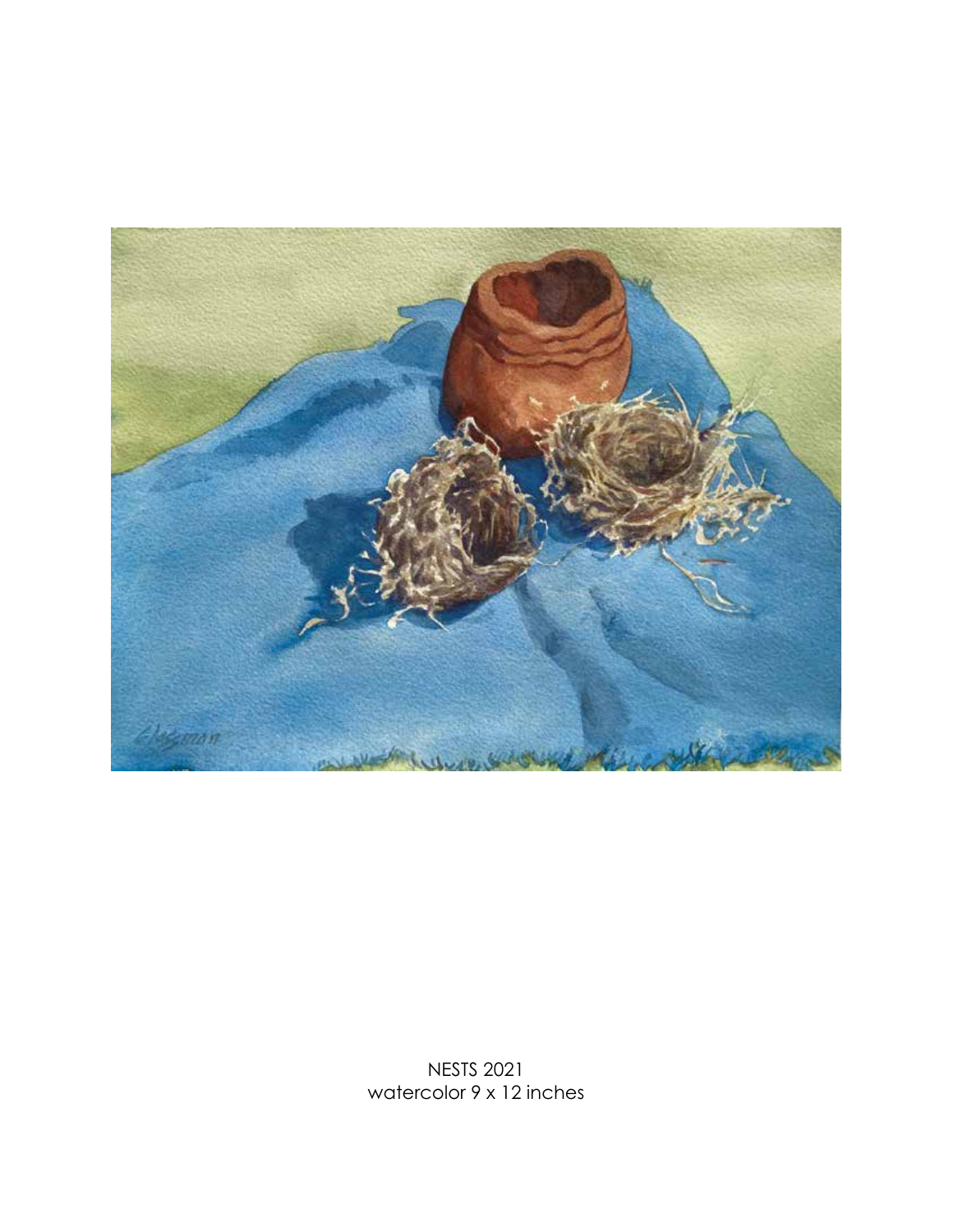

NESTS 2021 watercolor 9 x 12 inches